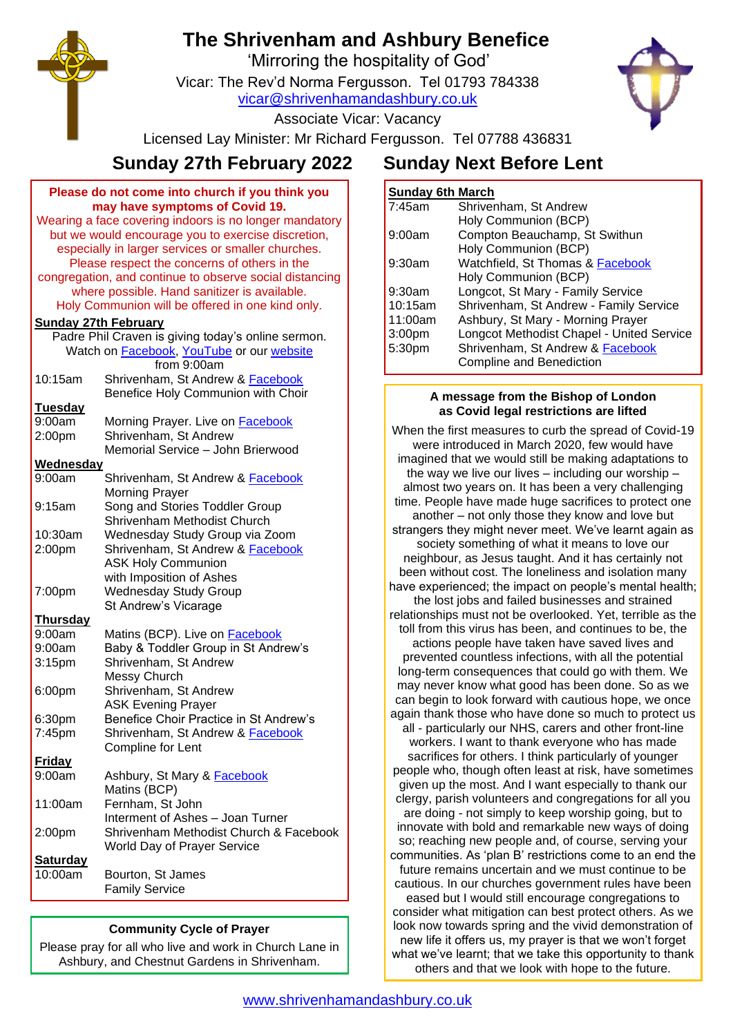# **The Shrivenham and Ashbury Benefice**

'Mirroring the hospitality of God'

Vicar: The Rev'd Norma Fergusson. Tel 01793 784338

[vicar@shrivenhamandashbury.co.uk](mailto:vicar@shrivenhamandashbury.co.uk)

Associate Vicar: Vacancy

Licensed Lay Minister: Mr Richard Fergusson. Tel 07788 436831

## **Sunday 27th February 2022 Sunday Next Before Lent**

| Please do not come into church if you think you                                   |                                                      |  |
|-----------------------------------------------------------------------------------|------------------------------------------------------|--|
| may have symptoms of Covid 19.                                                    |                                                      |  |
| Wearing a face covering indoors is no longer mandatory                            |                                                      |  |
| but we would encourage you to exercise discretion,                                |                                                      |  |
|                                                                                   | especially in larger services or smaller churches.   |  |
|                                                                                   | Please respect the concerns of others in the         |  |
| congregation, and continue to observe social distancing                           |                                                      |  |
| where possible. Hand sanitizer is available.                                      |                                                      |  |
| Holy Communion will be offered in one kind only.                                  |                                                      |  |
| <b>Sunday 27th February</b><br>Padre Phil Craven is giving today's online sermon. |                                                      |  |
| Watch on Facebook, YouTube or our website                                         |                                                      |  |
|                                                                                   | from 9:00am                                          |  |
| 10:15am                                                                           | Shrivenham, St Andrew & Facebook                     |  |
|                                                                                   | Benefice Holy Communion with Choir                   |  |
| <b>Tuesday</b>                                                                    |                                                      |  |
| 9:00am                                                                            | Morning Prayer. Live on <b>Facebook</b>              |  |
| 2:00pm                                                                            | Shrivenham, St Andrew                                |  |
|                                                                                   | Memorial Service - John Brierwood                    |  |
| <b>Wednesday</b>                                                                  |                                                      |  |
| 9:00am                                                                            | Shrivenham, St Andrew & Facebook                     |  |
|                                                                                   | <b>Morning Prayer</b>                                |  |
| 9:15am                                                                            | Song and Stories Toddler Group                       |  |
|                                                                                   | Shrivenham Methodist Church                          |  |
| 10:30am                                                                           | Wednesday Study Group via Zoom                       |  |
| 2:00pm                                                                            | Shrivenham, St Andrew & Facebook                     |  |
|                                                                                   | <b>ASK Holy Communion</b>                            |  |
|                                                                                   | with Imposition of Ashes                             |  |
| 7:00pm                                                                            | <b>Wednesday Study Group</b><br>St Andrew's Vicarage |  |
| <b>Thursday</b>                                                                   |                                                      |  |
| 9:00am                                                                            | Matins (BCP). Live on <b>Facebook</b>                |  |
| 9:00am                                                                            | Baby & Toddler Group in St Andrew's                  |  |
| 3:15 <sub>pm</sub>                                                                | Shrivenham, St Andrew                                |  |
|                                                                                   | Messy Church                                         |  |
| 6:00pm                                                                            | Shrivenham, St Andrew                                |  |
|                                                                                   | <b>ASK Evening Prayer</b>                            |  |
| 6:30pm                                                                            | Benefice Choir Practice in St Andrew's               |  |
| 7:45pm                                                                            | Shrivenham, St Andrew & Facebook                     |  |
|                                                                                   | Compline for Lent                                    |  |
| <b>Friday</b>                                                                     |                                                      |  |
| 9:00am                                                                            | Ashbury, St Mary & <b>Facebook</b>                   |  |
|                                                                                   | Matins (BCP)                                         |  |
| 11:00am                                                                           | Fernham, St John                                     |  |
|                                                                                   | Interment of Ashes - Joan Turner                     |  |
| 2:00pm                                                                            | Shrivenham Methodist Church & Facebook               |  |
|                                                                                   | <b>World Day of Prayer Service</b>                   |  |
| <b>Saturday</b>                                                                   |                                                      |  |
| 10:00am                                                                           | Bourton, St James                                    |  |
|                                                                                   | <b>Family Service</b>                                |  |

### **Community Cycle of Prayer**

Please pray for all who live and work in Church Lane in Ashbury, and Chestnut Gardens in Shrivenham.

## **Sunday 6th March**

| 7:45am             | Shrivenham, St Andrew                     |
|--------------------|-------------------------------------------|
|                    | Holy Communion (BCP)                      |
| 9:00am             | Compton Beauchamp, St Swithun             |
|                    | Holy Communion (BCP)                      |
| 9:30am             | Watchfield, St Thomas & Facebook          |
|                    | Holy Communion (BCP)                      |
| 9:30am             | Longcot, St Mary - Family Service         |
| 10:15am            | Shrivenham, St Andrew - Family Service    |
| 11:00am            | Ashbury, St Mary - Morning Prayer         |
| 3:00 <sub>pm</sub> | Longcot Methodist Chapel - United Service |
| 5:30pm             | Shrivenham, St Andrew & Facebook          |
|                    | Compline and Benediction                  |

#### **A message from the Bishop of London as Covid legal restrictions are lifted**

When the first measures to curb the spread of Covid-19 were introduced in March 2020, few would have imagined that we would still be making adaptations to the way we live our lives  $-$  including our worship  $$ almost two years on. It has been a very challenging time. People have made huge sacrifices to protect one another – not only those they know and love but strangers they might never meet. We've learnt again as society something of what it means to love our neighbour, as Jesus taught. And it has certainly not been without cost. The loneliness and isolation many have experienced; the impact on people's mental health; the lost jobs and failed businesses and strained relationships must not be overlooked. Yet, terrible as the toll from this virus has been, and continues to be, the actions people have taken have saved lives and prevented countless infections, with all the potential long-term consequences that could go with them. We may never know what good has been done. So as we can begin to look forward with cautious hope, we once again thank those who have done so much to protect us all - particularly our NHS, carers and other front-line workers. I want to thank everyone who has made sacrifices for others. I think particularly of younger people who, though often least at risk, have sometimes given up the most. And I want especially to thank our clergy, parish volunteers and congregations for all you are doing - not simply to keep worship going, but to innovate with bold and remarkable new ways of doing so; reaching new people and, of course, serving your communities. As 'plan B' restrictions come to an end the future remains uncertain and we must continue to be cautious. In our churches government rules have been eased but I would still encourage congregations to consider what mitigation can best protect others. As we look now towards spring and the vivid demonstration of new life it offers us, my prayer is that we won't forget

what we've learnt; that we take this opportunity to thank others and that we look with hope to the future.





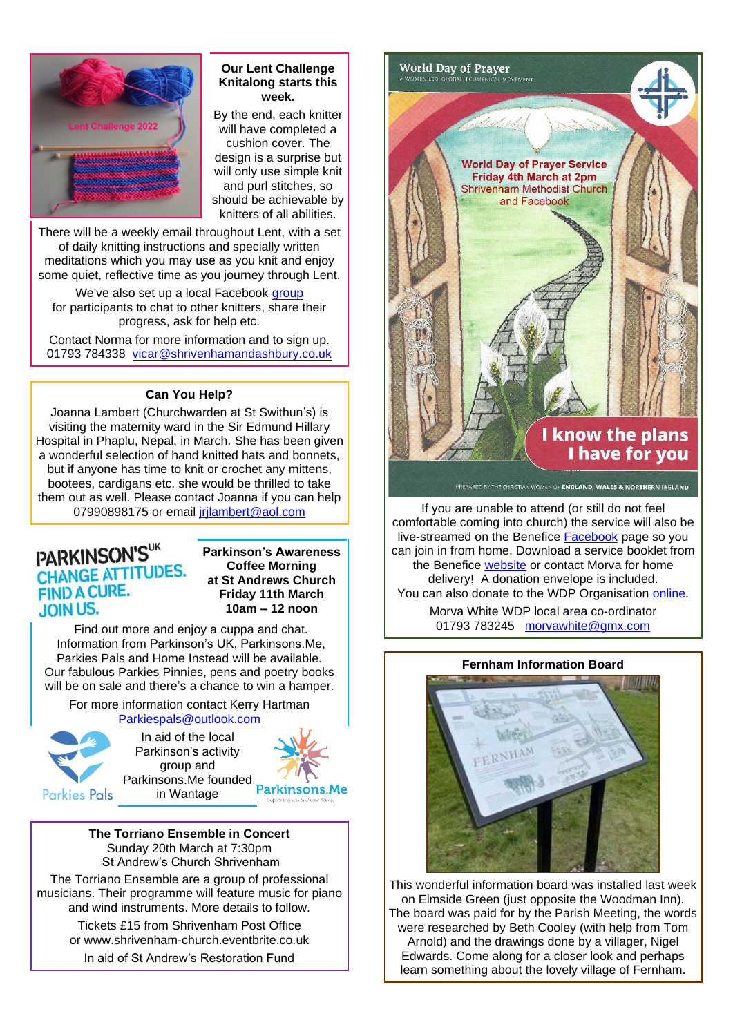

#### **Our Lent Challenge Knitalong starts this week.**

By the end, each knitter will have completed a cushion cover. The design is a surprise but will only use simple knit and purl stitches, so should be achievable by knitters of all abilities.

There will be a weekly email throughout Lent, with a set of daily knitting instructions and specially written meditations which you may use as you knit and enjoy some quiet, reflective time as you journey through Lent.

We've also set up a local Facebook [group](https://www.facebook.com/groups/499333544869056/) for participants to chat to other knitters, share their progress, ask for help etc.

Contact Norma for more information and to sign up. 01793 784338 [vicar@shrivenhamandashbury.co.uk](mailto:vicar@shrivenhamandashbury.co.uk)

#### **Can You Help?**

Joanna Lambert (Churchwarden at St Swithun's) is visiting the maternity ward in the Sir Edmund Hillary Hospital in Phaplu, Nepal, in March. She has been given a wonderful selection of hand knitted hats and bonnets, but if anyone has time to knit or crochet any mittens, bootees, cardigans etc. she would be thrilled to take them out as well. Please contact Joanna if you can help 07990898175 or email *irilambert@aol.com* 

## PARKINSON'SUK **CHANGE ATTITUDES. FIND A CURE. JOIN US.**

**Parkinson's Awareness Coffee Morning at St Andrews Church Friday 11th March 10am – 12 noon**

Find out more and enjoy a cuppa and chat. Information from Parkinson's UK, Parkinsons.Me, Parkies Pals and Home Instead will be available. Our fabulous Parkies Pinnies, pens and poetry books will be on sale and there's a chance to win a hamper.

For more information contact Kerry Hartman [Parkiespals@outlook.com](mailto:Parkiespals@outlook.com)



In aid of the local Parkinson's activity group and Parkinsons.Me founded  $\overline{P}$   $\overline{N}$  TV in Wantage Parkinsons.Me in Wantage



**The Torriano Ensemble in Concert** Sunday 20th March at 7:30pm St Andrew's Church Shrivenham

The Torriano Ensemble are a group of professional musicians. Their programme will feature music for piano and wind instruments. More details to follow.

> Tickets £15 from Shrivenham Post Office or www.shrivenham-church.eventbrite.co.uk

In aid of St Andrew's Restoration Fund



If you are unable to attend (or still do not feel comfortable coming into church) the service will also be live-streamed on the Benefice [Facebook](https://www.facebook.com/shrivenhamandashbury/live_videos/) page so you can join in from home. Download a service booklet from the Benefice [website](http://www.shrivenhamandashbury.co.uk/) or contact Morva for home delivery! A donation envelope is included. You can also donate to the WDP Organisation [online.](https://www.wwdp.org.uk/product/make-a-donation/)

> Morva White WDP local area co-ordinator 01793 783245 [morvawhite@gmx.com](mailto:morvawhite@gmx.com)

#### **Fernham Information Board**



This wonderful information board was installed last week on Elmside Green (just opposite the Woodman Inn). The board was paid for by the Parish Meeting, the words were researched by Beth Cooley (with help from Tom Arnold) and the drawings done by a villager, Nigel Edwards. Come along for a closer look and perhaps learn something about the lovely village of Fernham.